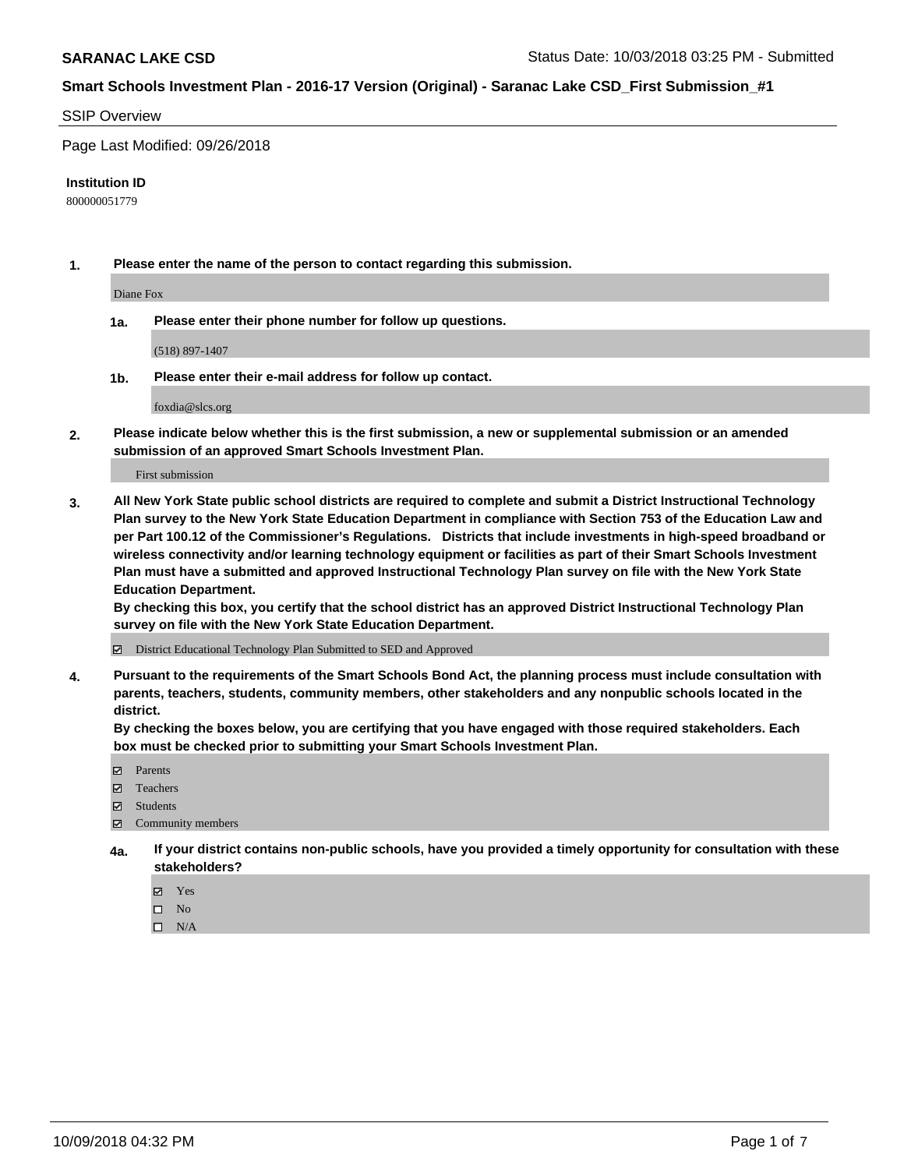#### SSIP Overview

Page Last Modified: 09/26/2018

#### **Institution ID**

800000051779

**1. Please enter the name of the person to contact regarding this submission.**

Diane Fox

**1a. Please enter their phone number for follow up questions.**

(518) 897-1407

**1b. Please enter their e-mail address for follow up contact.**

foxdia@slcs.org

**2. Please indicate below whether this is the first submission, a new or supplemental submission or an amended submission of an approved Smart Schools Investment Plan.**

First submission

**3. All New York State public school districts are required to complete and submit a District Instructional Technology Plan survey to the New York State Education Department in compliance with Section 753 of the Education Law and per Part 100.12 of the Commissioner's Regulations. Districts that include investments in high-speed broadband or wireless connectivity and/or learning technology equipment or facilities as part of their Smart Schools Investment Plan must have a submitted and approved Instructional Technology Plan survey on file with the New York State Education Department.** 

**By checking this box, you certify that the school district has an approved District Instructional Technology Plan survey on file with the New York State Education Department.**

District Educational Technology Plan Submitted to SED and Approved

**4. Pursuant to the requirements of the Smart Schools Bond Act, the planning process must include consultation with parents, teachers, students, community members, other stakeholders and any nonpublic schools located in the district.** 

**By checking the boxes below, you are certifying that you have engaged with those required stakeholders. Each box must be checked prior to submitting your Smart Schools Investment Plan.**

- **□** Parents
- Teachers
- Students
- $\boxtimes$  Community members
- **4a. If your district contains non-public schools, have you provided a timely opportunity for consultation with these stakeholders?**
	- Yes
	- $\qquad \qquad$  No
	- $\square$  N/A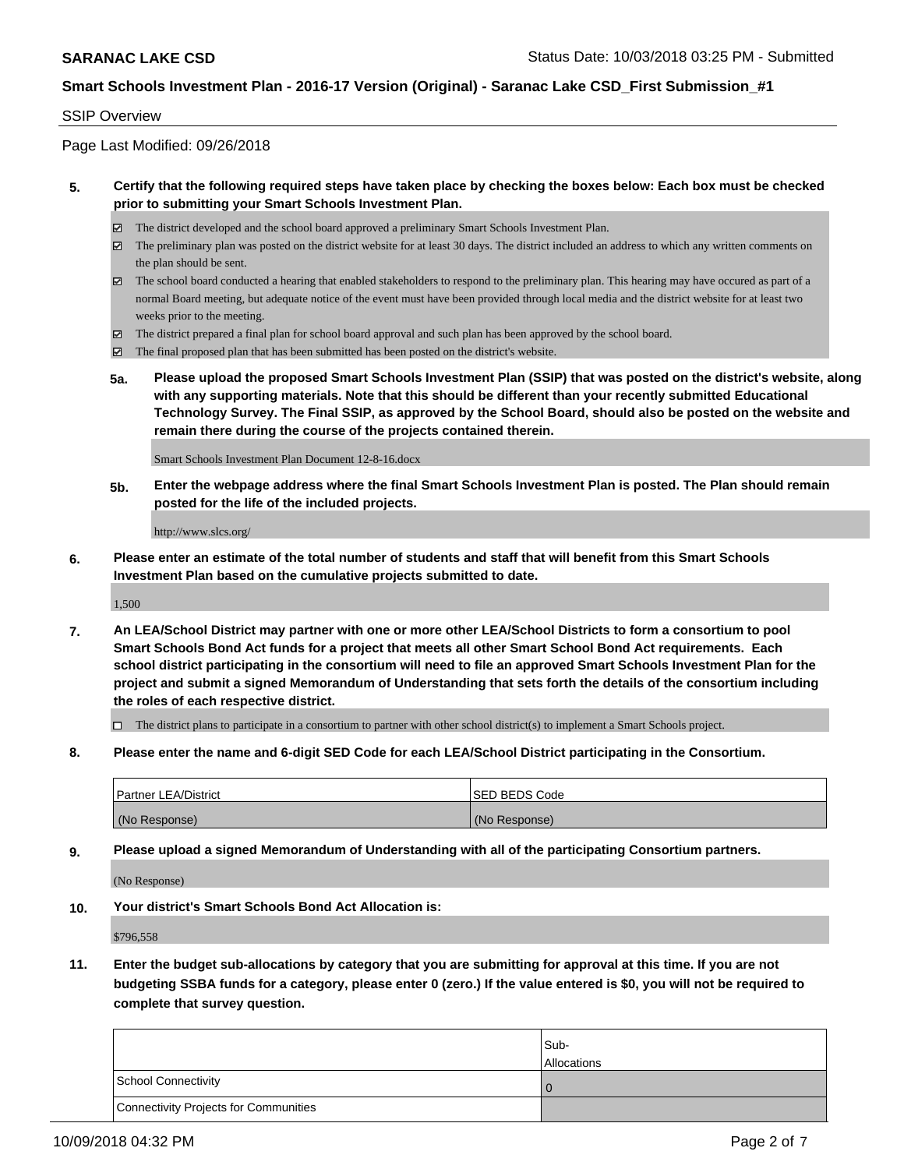#### SSIP Overview

Page Last Modified: 09/26/2018

#### **5. Certify that the following required steps have taken place by checking the boxes below: Each box must be checked prior to submitting your Smart Schools Investment Plan.**

- The district developed and the school board approved a preliminary Smart Schools Investment Plan.
- $\boxtimes$  The preliminary plan was posted on the district website for at least 30 days. The district included an address to which any written comments on the plan should be sent.
- $\boxtimes$  The school board conducted a hearing that enabled stakeholders to respond to the preliminary plan. This hearing may have occured as part of a normal Board meeting, but adequate notice of the event must have been provided through local media and the district website for at least two weeks prior to the meeting.
- The district prepared a final plan for school board approval and such plan has been approved by the school board.
- $\boxtimes$  The final proposed plan that has been submitted has been posted on the district's website.
- **5a. Please upload the proposed Smart Schools Investment Plan (SSIP) that was posted on the district's website, along with any supporting materials. Note that this should be different than your recently submitted Educational Technology Survey. The Final SSIP, as approved by the School Board, should also be posted on the website and remain there during the course of the projects contained therein.**

Smart Schools Investment Plan Document 12-8-16.docx

**5b. Enter the webpage address where the final Smart Schools Investment Plan is posted. The Plan should remain posted for the life of the included projects.**

http://www.slcs.org/

**6. Please enter an estimate of the total number of students and staff that will benefit from this Smart Schools Investment Plan based on the cumulative projects submitted to date.**

1,500

**7. An LEA/School District may partner with one or more other LEA/School Districts to form a consortium to pool Smart Schools Bond Act funds for a project that meets all other Smart School Bond Act requirements. Each school district participating in the consortium will need to file an approved Smart Schools Investment Plan for the project and submit a signed Memorandum of Understanding that sets forth the details of the consortium including the roles of each respective district.**

 $\Box$  The district plans to participate in a consortium to partner with other school district(s) to implement a Smart Schools project.

**8. Please enter the name and 6-digit SED Code for each LEA/School District participating in the Consortium.**

| <b>Partner LEA/District</b> | <b>ISED BEDS Code</b> |
|-----------------------------|-----------------------|
| (No Response)               | (No Response)         |

**9. Please upload a signed Memorandum of Understanding with all of the participating Consortium partners.**

(No Response)

**10. Your district's Smart Schools Bond Act Allocation is:**

\$796,558

**11. Enter the budget sub-allocations by category that you are submitting for approval at this time. If you are not budgeting SSBA funds for a category, please enter 0 (zero.) If the value entered is \$0, you will not be required to complete that survey question.**

|                                              | Sub-<br><b>Allocations</b> |
|----------------------------------------------|----------------------------|
| <b>School Connectivity</b>                   |                            |
| <b>Connectivity Projects for Communities</b> |                            |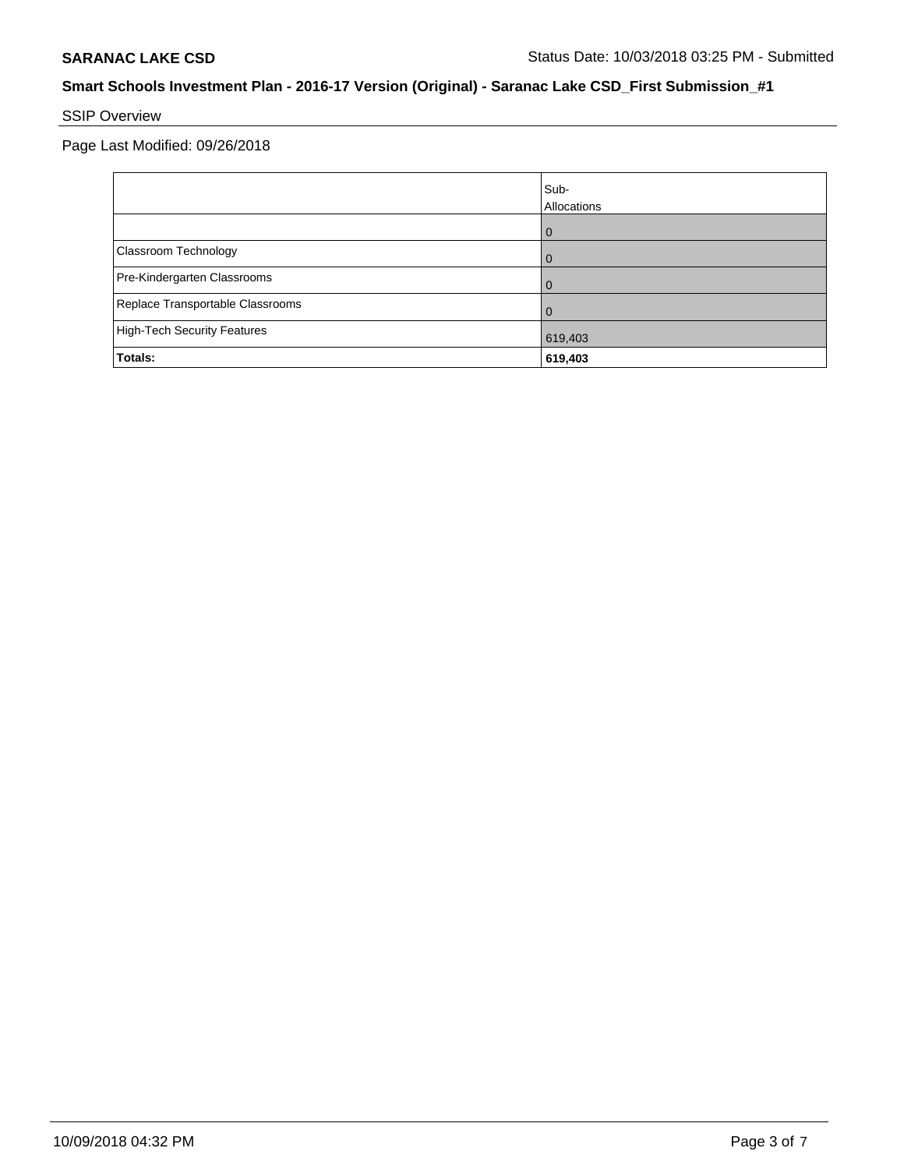# SSIP Overview

Page Last Modified: 09/26/2018

|                                    | Sub-<br>Allocations |
|------------------------------------|---------------------|
|                                    | $\Omega$            |
| Classroom Technology               | 0                   |
| Pre-Kindergarten Classrooms        | O                   |
| Replace Transportable Classrooms   | O                   |
| <b>High-Tech Security Features</b> | 619,403             |
| Totals:                            | 619,403             |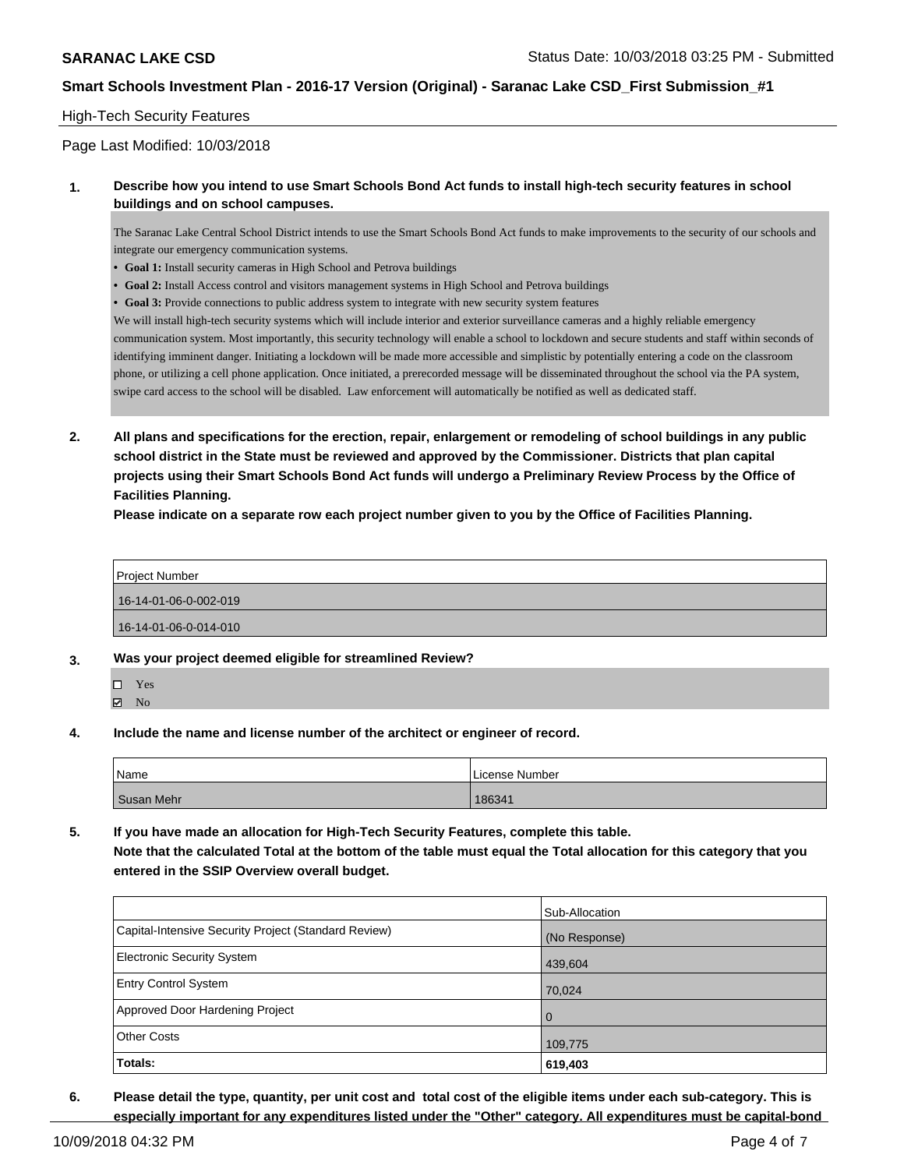#### High-Tech Security Features

Page Last Modified: 10/03/2018

#### **1. Describe how you intend to use Smart Schools Bond Act funds to install high-tech security features in school buildings and on school campuses.**

The Saranac Lake Central School District intends to use the Smart Schools Bond Act funds to make improvements to the security of our schools and integrate our emergency communication systems.

- **• Goal 1:** Install security cameras in High School and Petrova buildings
- **• Goal 2:** Install Access control and visitors management systems in High School and Petrova buildings
- Goal 3: Provide connections to public address system to integrate with new security system features

We will install high-tech security systems which will include interior and exterior surveillance cameras and a highly reliable emergency communication system. Most importantly, this security technology will enable a school to lockdown and secure students and staff within seconds of identifying imminent danger. Initiating a lockdown will be made more accessible and simplistic by potentially entering a code on the classroom phone, or utilizing a cell phone application. Once initiated, a prerecorded message will be disseminated throughout the school via the PA system, swipe card access to the school will be disabled. Law enforcement will automatically be notified as well as dedicated staff.

**2. All plans and specifications for the erection, repair, enlargement or remodeling of school buildings in any public school district in the State must be reviewed and approved by the Commissioner. Districts that plan capital projects using their Smart Schools Bond Act funds will undergo a Preliminary Review Process by the Office of Facilities Planning.** 

**Please indicate on a separate row each project number given to you by the Office of Facilities Planning.**

Project Number 16-14-01-06-0-002-019 16-14-01-06-0-014-010

- **3. Was your project deemed eligible for streamlined Review?**
	- Yes
	- **Z** No
- **4. Include the name and license number of the architect or engineer of record.**

| Name       | License Number |
|------------|----------------|
| Susan Mehr | 186341         |

**5. If you have made an allocation for High-Tech Security Features, complete this table. Note that the calculated Total at the bottom of the table must equal the Total allocation for this category that you entered in the SSIP Overview overall budget.**

|                                                      | Sub-Allocation |
|------------------------------------------------------|----------------|
| Capital-Intensive Security Project (Standard Review) | (No Response)  |
| <b>Electronic Security System</b>                    | 439,604        |
| <b>Entry Control System</b>                          | 70,024         |
| Approved Door Hardening Project                      | $\Omega$       |
| <b>Other Costs</b>                                   | 109,775        |
| Totals:                                              | 619,403        |

**6. Please detail the type, quantity, per unit cost and total cost of the eligible items under each sub-category. This is especially important for any expenditures listed under the "Other" category. All expenditures must be capital-bond**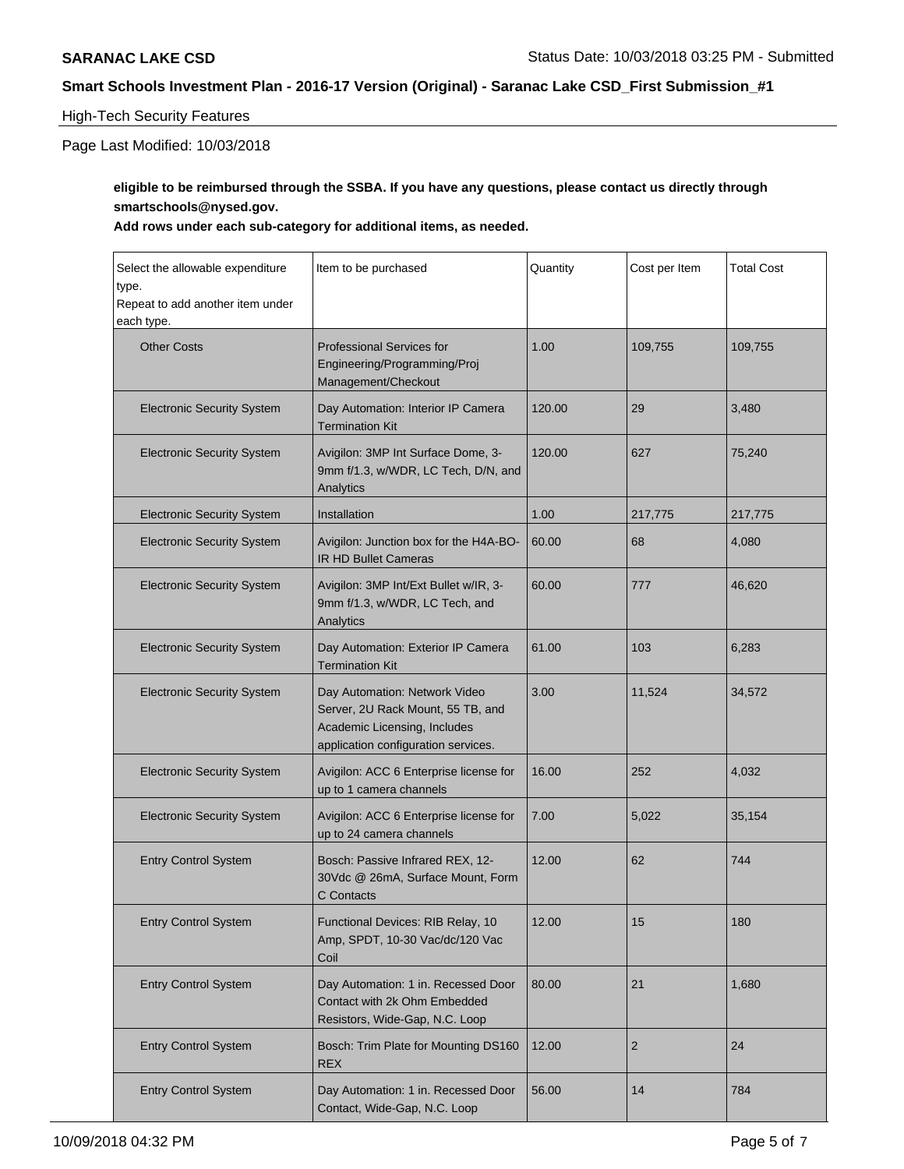### High-Tech Security Features

# Page Last Modified: 10/03/2018

# **eligible to be reimbursed through the SSBA. If you have any questions, please contact us directly through smartschools@nysed.gov.**

#### **Add rows under each sub-category for additional items, as needed.**

| Select the allowable expenditure<br>type.<br>Repeat to add another item under<br>each type. | Item to be purchased                                                                                                                      | Quantity | Cost per Item  | <b>Total Cost</b> |
|---------------------------------------------------------------------------------------------|-------------------------------------------------------------------------------------------------------------------------------------------|----------|----------------|-------------------|
| <b>Other Costs</b>                                                                          | <b>Professional Services for</b><br>Engineering/Programming/Proj<br>Management/Checkout                                                   | 1.00     | 109,755        | 109,755           |
| <b>Electronic Security System</b>                                                           | Day Automation: Interior IP Camera<br><b>Termination Kit</b>                                                                              | 120.00   | 29             | 3,480             |
| <b>Electronic Security System</b>                                                           | Avigilon: 3MP Int Surface Dome, 3-<br>9mm f/1.3, w/WDR, LC Tech, D/N, and<br>Analytics                                                    | 120.00   | 627            | 75,240            |
| <b>Electronic Security System</b>                                                           | Installation                                                                                                                              | 1.00     | 217,775        | 217,775           |
| <b>Electronic Security System</b>                                                           | Avigilon: Junction box for the H4A-BO-<br><b>IR HD Bullet Cameras</b>                                                                     | 60.00    | 68             | 4,080             |
| <b>Electronic Security System</b>                                                           | Avigilon: 3MP Int/Ext Bullet w/IR, 3-<br>9mm f/1.3, w/WDR, LC Tech, and<br>Analytics                                                      | 60.00    | 777            | 46,620            |
| <b>Electronic Security System</b>                                                           | Day Automation: Exterior IP Camera<br><b>Termination Kit</b>                                                                              | 61.00    | 103            | 6,283             |
| <b>Electronic Security System</b>                                                           | Day Automation: Network Video<br>Server, 2U Rack Mount, 55 TB, and<br>Academic Licensing, Includes<br>application configuration services. | 3.00     | 11,524         | 34,572            |
| <b>Electronic Security System</b>                                                           | Avigilon: ACC 6 Enterprise license for<br>up to 1 camera channels                                                                         | 16.00    | 252            | 4,032             |
| <b>Electronic Security System</b>                                                           | Avigilon: ACC 6 Enterprise license for<br>up to 24 camera channels                                                                        | 7.00     | 5,022          | 35,154            |
| <b>Entry Control System</b>                                                                 | Bosch: Passive Infrared REX, 12-<br>30Vdc @ 26mA, Surface Mount, Form<br><b>C</b> Contacts                                                | 12.00    | 62             | 744               |
| <b>Entry Control System</b>                                                                 | Functional Devices: RIB Relay, 10<br>Amp, SPDT, 10-30 Vac/dc/120 Vac<br>Coil                                                              | 12.00    | 15             | 180               |
| <b>Entry Control System</b>                                                                 | Day Automation: 1 in. Recessed Door<br>Contact with 2k Ohm Embedded<br>Resistors, Wide-Gap, N.C. Loop                                     | 80.00    | 21             | 1,680             |
| <b>Entry Control System</b>                                                                 | Bosch: Trim Plate for Mounting DS160<br><b>REX</b>                                                                                        | 12.00    | $\overline{2}$ | 24                |
| <b>Entry Control System</b>                                                                 | Day Automation: 1 in. Recessed Door<br>Contact, Wide-Gap, N.C. Loop                                                                       | 56.00    | 14             | 784               |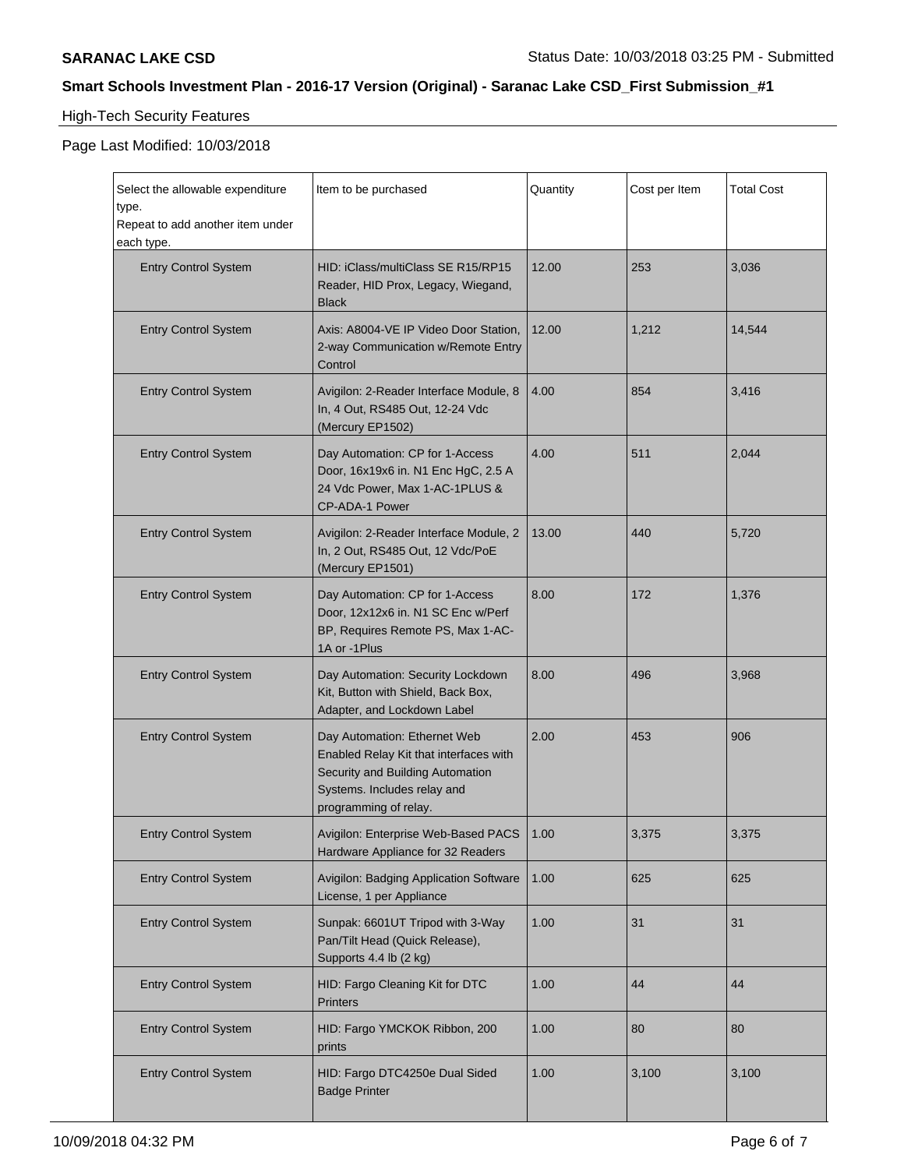# High-Tech Security Features

# Page Last Modified: 10/03/2018

| Select the allowable expenditure<br>type.<br>Repeat to add another item under<br>each type. | Item to be purchased                                                                                                                                               | Quantity | Cost per Item | <b>Total Cost</b> |
|---------------------------------------------------------------------------------------------|--------------------------------------------------------------------------------------------------------------------------------------------------------------------|----------|---------------|-------------------|
| <b>Entry Control System</b>                                                                 | HID: iClass/multiClass SE R15/RP15<br>Reader, HID Prox, Legacy, Wiegand,<br><b>Black</b>                                                                           | 12.00    | 253           | 3,036             |
| <b>Entry Control System</b>                                                                 | Axis: A8004-VE IP Video Door Station,<br>2-way Communication w/Remote Entry<br>Control                                                                             | 12.00    | 1,212         | 14,544            |
| <b>Entry Control System</b>                                                                 | Avigilon: 2-Reader Interface Module, 8<br>In, 4 Out, RS485 Out, 12-24 Vdc<br>(Mercury EP1502)                                                                      | 4.00     | 854           | 3,416             |
| <b>Entry Control System</b>                                                                 | Day Automation: CP for 1-Access<br>Door, 16x19x6 in. N1 Enc HgC, 2.5 A<br>24 Vdc Power, Max 1-AC-1PLUS &<br>CP-ADA-1 Power                                         | 4.00     | 511           | 2,044             |
| <b>Entry Control System</b>                                                                 | Avigilon: 2-Reader Interface Module, 2<br>In, 2 Out, RS485 Out, 12 Vdc/PoE<br>(Mercury EP1501)                                                                     | 13.00    | 440           | 5,720             |
| <b>Entry Control System</b>                                                                 | Day Automation: CP for 1-Access<br>Door, 12x12x6 in. N1 SC Enc w/Perf<br>BP, Requires Remote PS, Max 1-AC-<br>1A or -1Plus                                         | 8.00     | 172           | 1,376             |
| <b>Entry Control System</b>                                                                 | Day Automation: Security Lockdown<br>Kit, Button with Shield, Back Box,<br>Adapter, and Lockdown Label                                                             | 8.00     | 496           | 3,968             |
| <b>Entry Control System</b>                                                                 | Day Automation: Ethernet Web<br>Enabled Relay Kit that interfaces with<br>Security and Building Automation<br>Systems. Includes relay and<br>programming of relay. | 2.00     | 453           | 906               |
| <b>Entry Control System</b>                                                                 | Avigilon: Enterprise Web-Based PACS   1.00<br>Hardware Appliance for 32 Readers                                                                                    |          | 3,375         | 3,375             |
| <b>Entry Control System</b>                                                                 | Avigilon: Badging Application Software<br>License, 1 per Appliance                                                                                                 | 1.00     | 625           | 625               |
| <b>Entry Control System</b>                                                                 | Sunpak: 6601UT Tripod with 3-Way<br>Pan/Tilt Head (Quick Release),<br>Supports 4.4 lb (2 kg)                                                                       | 1.00     | 31            | 31                |
| <b>Entry Control System</b>                                                                 | HID: Fargo Cleaning Kit for DTC<br>Printers                                                                                                                        | 1.00     | 44            | 44                |
| <b>Entry Control System</b>                                                                 | HID: Fargo YMCKOK Ribbon, 200<br>prints                                                                                                                            | 1.00     | 80            | 80                |
| <b>Entry Control System</b>                                                                 | HID: Fargo DTC4250e Dual Sided<br><b>Badge Printer</b>                                                                                                             | 1.00     | 3,100         | 3,100             |